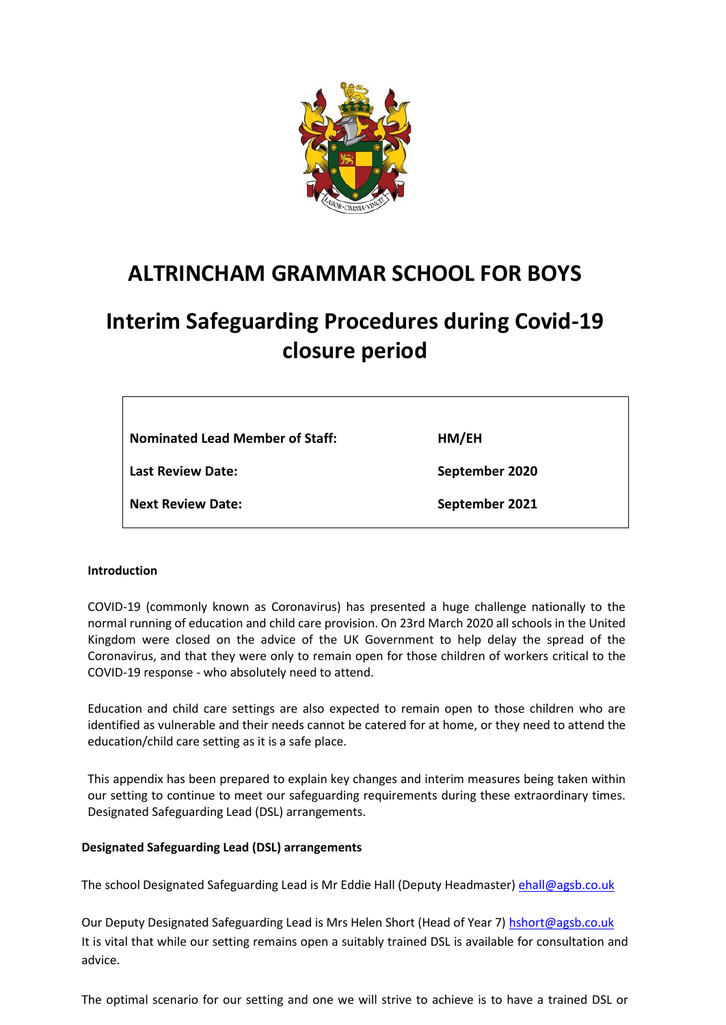

## **ALTRINCHAM GRAMMAR SCHOOL FOR BOYS**

# **Interim Safeguarding Procedures during Covid-19 closure period**

| <b>Nominated Lead Member of Staff:</b> | HM/EH          |
|----------------------------------------|----------------|
| <b>Last Review Date:</b>               | September 2020 |
| <b>Next Review Date:</b>               | September 2021 |

### **Introduction**

COVID-19 (commonly known as Coronavirus) has presented a huge challenge nationally to the normal running of education and child care provision. On 23rd March 2020 all schools in the United Kingdom were closed on the advice of the UK Government to help delay the spread of the Coronavirus, and that they were only to remain open for those children of workers critical to the COVID-19 response - who absolutely need to attend.

Education and child care settings are also expected to remain open to those children who are identified as vulnerable and their needs cannot be catered for at home, or they need to attend the education/child care setting as it is a safe place.

This appendix has been prepared to explain key changes and interim measures being taken within our setting to continue to meet our safeguarding requirements during these extraordinary times. Designated Safeguarding Lead (DSL) arrangements.

### **Designated Safeguarding Lead (DSL) arrangements**

The school Designated Safeguarding Lead is Mr Eddie Hall (Deputy Headmaster[\) ehall@agsb.co.uk](mailto:ehall@agsb.co.uk)

Our Deputy Designated Safeguarding Lead is Mrs Helen Short (Head of Year 7) [hshort@agsb.co.uk](mailto:hshort@agsb.co.uk) It is vital that while our setting remains open a suitably trained DSL is available for consultation and advice.

The optimal scenario for our setting and one we will strive to achieve is to have a trained DSL or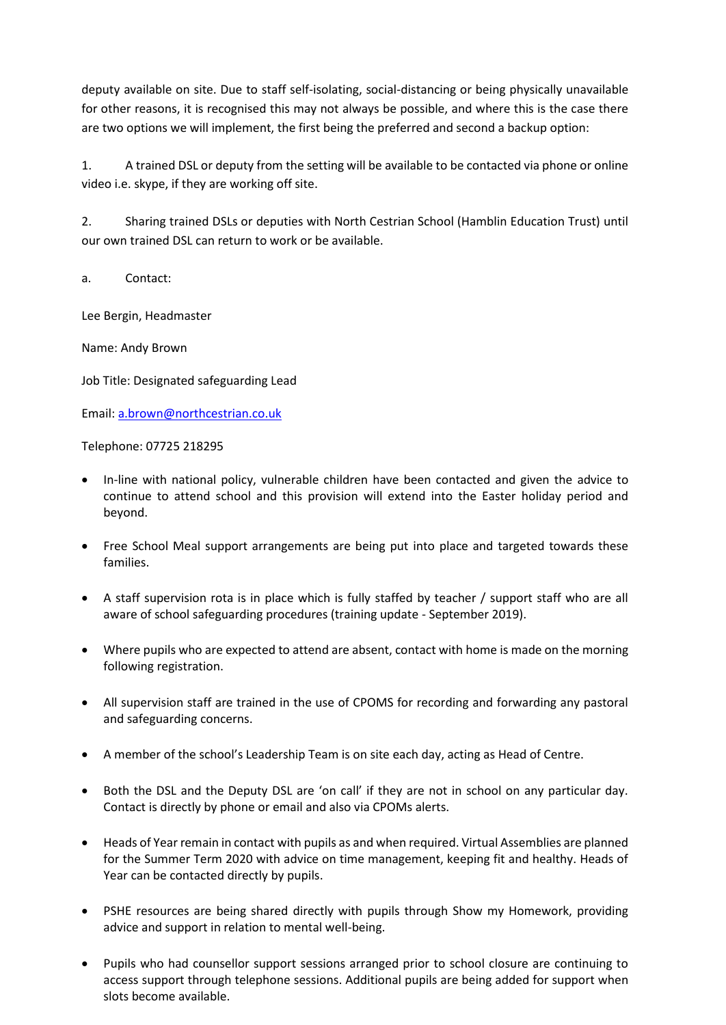deputy available on site. Due to staff self-isolating, social-distancing or being physically unavailable for other reasons, it is recognised this may not always be possible, and where this is the case there are two options we will implement, the first being the preferred and second a backup option:

1. A trained DSL or deputy from the setting will be available to be contacted via phone or online video i.e. skype, if they are working off site.

2. Sharing trained DSLs or deputies with North Cestrian School (Hamblin Education Trust) until our own trained DSL can return to work or be available.

a. Contact:

Lee Bergin, Headmaster

Name: Andy Brown

Job Title: Designated safeguarding Lead

Email: [a.brown@northcestrian.co.uk](mailto:a.brown@northcestrian.co.uk)

Telephone: 07725 218295

- In-line with national policy, vulnerable children have been contacted and given the advice to continue to attend school and this provision will extend into the Easter holiday period and beyond.
- Free School Meal support arrangements are being put into place and targeted towards these families.
- A staff supervision rota is in place which is fully staffed by teacher / support staff who are all aware of school safeguarding procedures (training update - September 2019).
- Where pupils who are expected to attend are absent, contact with home is made on the morning following registration.
- All supervision staff are trained in the use of CPOMS for recording and forwarding any pastoral and safeguarding concerns.
- A member of the school's Leadership Team is on site each day, acting as Head of Centre.
- Both the DSL and the Deputy DSL are 'on call' if they are not in school on any particular day. Contact is directly by phone or email and also via CPOMs alerts.
- Heads of Year remain in contact with pupils as and when required. Virtual Assemblies are planned for the Summer Term 2020 with advice on time management, keeping fit and healthy. Heads of Year can be contacted directly by pupils.
- PSHE resources are being shared directly with pupils through Show my Homework, providing advice and support in relation to mental well-being.
- Pupils who had counsellor support sessions arranged prior to school closure are continuing to access support through telephone sessions. Additional pupils are being added for support when slots become available.